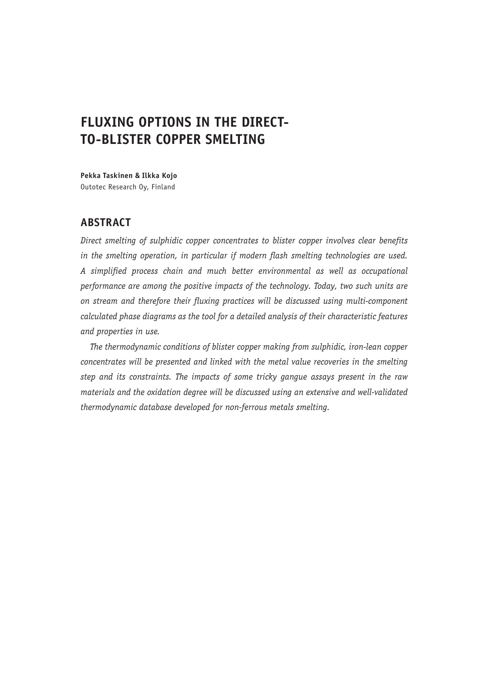# **FLUXING OPTIONS IN THE DIRECT-TO-BLISTER COPPER SMELTING**

**Pekka Taskinen & Ilkka Kojo** Outotec Research Oy, Finland

# **ABSTRACT**

*Direct smelting of sulphidic copper concentrates to blister copper involves clear benefits in the smelting operation, in particular if modern flash smelting technologies are used. A simplified process chain and much better environmental as well as occupational performance are among the positive impacts of the technology. Today, two such units are on stream and therefore their fluxing practices will be discussed using multi-component calculated phase diagrams as the tool for a detailed analysis of their characteristic features and properties in use.*

*The thermodynamic conditions of blister copper making from sulphidic, iron-lean copper concentrates will be presented and linked with the metal value recoveries in the smelting step and its constraints. The impacts of some tricky gangue assays present in the raw materials and the oxidation degree will be discussed using an extensive and well-validated thermodynamic database developed for non-ferrous metals smelting.*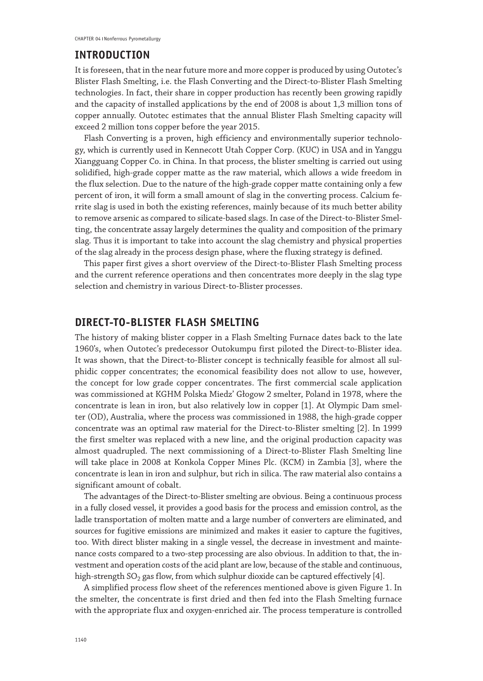## **INTRODUCTION**

It is foreseen, that in the near future more and more copper is produced by using Outotec's Blister Flash Smelting, i.e. the Flash Converting and the Direct-to-Blister Flash Smelting technologies. In fact, their share in copper production has recently been growing rapidly and the capacity of installed applications by the end of 2008 is about 1,3 million tons of copper annually. Outotec estimates that the annual Blister Flash Smelting capacity will exceed 2 million tons copper before the year 2015.

Flash Converting is a proven, high efficiency and environmentally superior technology, which is currently used in Kennecott Utah Copper Corp. (KUC) in USA and in Yanggu Xiangguang Copper Co. in China. In that process, the blister smelting is carried out using solidified, high-grade copper matte as the raw material, which allows a wide freedom in the flux selection. Due to the nature of the high-grade copper matte containing only a few percent of iron, it will form a small amount of slag in the converting process. Calcium ferrite slag is used in both the existing references, mainly because of its much better ability to remove arsenic as compared to silicate-based slags. In case of the Direct-to-Blister Smelting, the concentrate assay largely determines the quality and composition of the primary slag. Thus it is important to take into account the slag chemistry and physical properties of the slag already in the process design phase, where the fluxing strategy is defined.

This paper first gives a short overview of the Direct-to-Blister Flash Smelting process and the current reference operations and then concentrates more deeply in the slag type selection and chemistry in various Direct-to-Blister processes.

## **DIRECT-TO-BLISTER FLASH SMELTING**

The history of making blister copper in a Flash Smelting Furnace dates back to the late 1960's, when Outotec's predecessor Outokumpu first piloted the Direct-to-Blister idea. It was shown, that the Direct-to-Blister concept is technically feasible for almost all sulphidic copper concentrates; the economical feasibility does not allow to use, however, the concept for low grade copper concentrates. The first commercial scale application was commissioned at KGHM Polska Miedz' Głogow 2 smelter, Poland in 1978, where the concentrate is lean in iron, but also relatively low in copper [1]. At Olympic Dam smelter (OD), Australia, where the process was commissioned in 1988, the high-grade copper concentrate was an optimal raw material for the Direct-to-Blister smelting [2]. In 1999 the first smelter was replaced with a new line, and the original production capacity was almost quadrupled. The next commissioning of a Direct-to-Blister Flash Smelting line will take place in 2008 at Konkola Copper Mines Plc. (KCM) in Zambia [3], where the concentrate is lean in iron and sulphur, but rich in silica. The raw material also contains a significant amount of cobalt.

The advantages of the Direct-to-Blister smelting are obvious. Being a continuous process in a fully closed vessel, it provides a good basis for the process and emission control, as the ladle transportation of molten matte and a large number of converters are eliminated, and sources for fugitive emissions are minimized and makes it easier to capture the fugitives, too. With direct blister making in a single vessel, the decrease in investment and maintenance costs compared to a two-step processing are also obvious. In addition to that, the investment and operation costs of the acid plant are low, because of the stable and continuous, high-strength  $SO_2$  gas flow, from which sulphur dioxide can be captured effectively [4].

A simplified process flow sheet of the references mentioned above is given Figure 1. In the smelter, the concentrate is first dried and then fed into the Flash Smelting furnace with the appropriate flux and oxygen-enriched air. The process temperature is controlled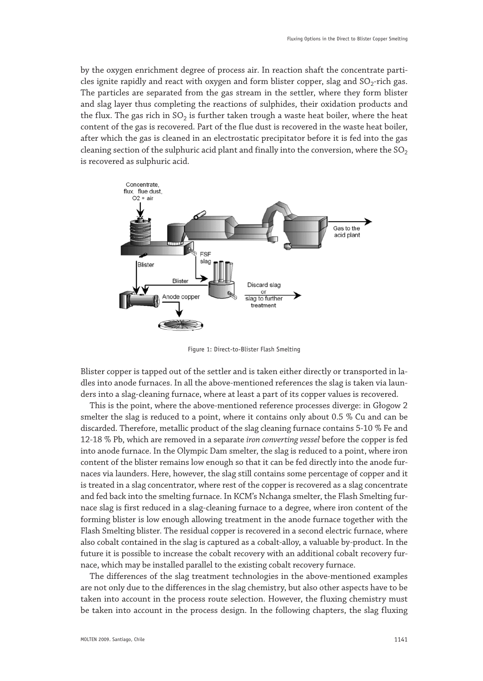by the oxygen enrichment degree of process air. In reaction shaft the concentrate particles ignite rapidly and react with oxygen and form blister copper, slag and  $SO_2$ -rich gas. The particles are separated from the gas stream in the settler, where they form blister and slag layer thus completing the reactions of sulphides, their oxidation products and the flux. The gas rich in  $SO<sub>2</sub>$  is further taken trough a waste heat boiler, where the heat content of the gas is recovered. Part of the flue dust is recovered in the waste heat boiler, after which the gas is cleaned in an electrostatic precipitator before it is fed into the gas cleaning section of the sulphuric acid plant and finally into the conversion, where the  $SO_2$ is recovered as sulphuric acid.



Figure 1: Direct-to-Blister Flash Smelting

Blister copper is tapped out of the settler and is taken either directly or transported in ladles into anode furnaces. In all the above-mentioned references the slag is taken via launders into a slag-cleaning furnace, where at least a part of its copper values is recovered.

This is the point, where the above-mentioned reference processes diverge: in Głogow 2 smelter the slag is reduced to a point, where it contains only about 0.5 % Cu and can be discarded. Therefore, metallic product of the slag cleaning furnace contains 5-10 % Fe and 12-18 % Pb, which are removed in a separate *iron converting vessel* before the copper is fed into anode furnace. In the Olympic Dam smelter, the slag is reduced to a point, where iron content of the blister remains low enough so that it can be fed directly into the anode furnaces via launders. Here, however, the slag still contains some percentage of copper and it is treated in a slag concentrator, where rest of the copper is recovered as a slag concentrate and fed back into the smelting furnace. In KCM's Nchanga smelter, the Flash Smelting furnace slag is first reduced in a slag-cleaning furnace to a degree, where iron content of the forming blister is low enough allowing treatment in the anode furnace together with the Flash Smelting blister. The residual copper is recovered in a second electric furnace, where also cobalt contained in the slag is captured as a cobalt-alloy, a valuable by-product. In the future it is possible to increase the cobalt recovery with an additional cobalt recovery furnace, which may be installed parallel to the existing cobalt recovery furnace.

The differences of the slag treatment technologies in the above-mentioned examples are not only due to the differences in the slag chemistry, but also other aspects have to be taken into account in the process route selection. However, the fluxing chemistry must be taken into account in the process design. In the following chapters, the slag fluxing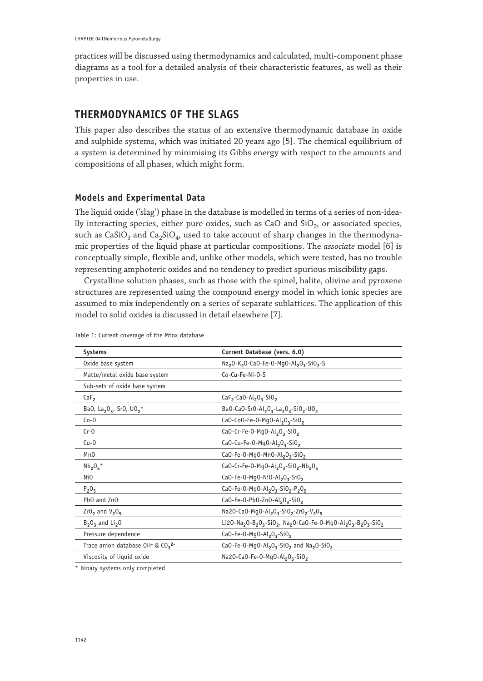practices will be discussed using thermodynamics and calculated, multi-component phase diagrams as a tool for a detailed analysis of their characteristic features, as well as their properties in use.

# **THERMODYNAMICS OF THE SLAGS**

This paper also describes the status of an extensive thermodynamic database in oxide and sulphide systems, which was initiated 20 years ago [5]. The chemical equilibrium of a system is determined by minimising its Gibbs energy with respect to the amounts and compositions of all phases, which might form.

## **Models and Experimental Data**

The liquid oxide ('slag') phase in the database is modelled in terms of a series of non-ideally interacting species, either pure oxides, such as CaO and  $SiO<sub>2</sub>$ , or associated species, such as  $CaSiO<sub>3</sub>$  and  $Ca<sub>2</sub>SiO<sub>4</sub>$ , used to take account of sharp changes in the thermodynamic properties of the liquid phase at particular compositions. The *associate* model [6] is conceptually simple, flexible and, unlike other models, which were tested, has no trouble representing amphoteric oxides and no tendency to predict spurious miscibility gaps.

Crystalline solution phases, such as those with the spinel, halite, olivine and pyroxene structures are represented using the compound energy model in which ionic species are assumed to mix independently on a series of separate sublattices. The application of this model to solid oxides is discussed in detail elsewhere [7].

| Systems                                                                 | Current Database (vers. 6.0)                                                                                                                                                            |  |  |
|-------------------------------------------------------------------------|-----------------------------------------------------------------------------------------------------------------------------------------------------------------------------------------|--|--|
| Oxide base system                                                       | Na <sub>2</sub> 0-K <sub>2</sub> 0-Ca0-Fe-0-Mg0-Al <sub>2</sub> 0 <sub>3</sub> -Si0 <sub>2</sub> -S                                                                                     |  |  |
| Matte/metal oxide base system                                           | Co-Cu-Fe-Ni-O-S                                                                                                                                                                         |  |  |
| Sub-sets of oxide base system                                           |                                                                                                                                                                                         |  |  |
| CaF <sub>2</sub>                                                        | $CaF2$ -CaO-Al <sub>2</sub> O <sub>3</sub> -SiO <sub>2</sub>                                                                                                                            |  |  |
| Ba0, La <sub>2</sub> 0 <sub>3</sub> , Sr0, U0 <sub>2</sub> <sup>*</sup> | Ba0-Ca0-Sr0-Al <sub>2</sub> 0 <sub>3</sub> -La <sub>2</sub> 0 <sub>3</sub> -Si0 <sub>2</sub> -U0 <sub>2</sub>                                                                           |  |  |
| $Co-0$                                                                  | CaO-CoO-Fe-O-MgO-Al <sub>2</sub> O <sub>3</sub> -SiO <sub>2</sub>                                                                                                                       |  |  |
| $Cr-0$                                                                  | CaO-Cr-Fe-O-MgO-Al <sub>2</sub> O <sub>3</sub> -SiO <sub>2</sub>                                                                                                                        |  |  |
| $Cu-0$                                                                  | CaO-Cu-Fe-O-MqO-Al <sub>2</sub> O <sub>3</sub> -SiO <sub>2</sub>                                                                                                                        |  |  |
| Mn0                                                                     | CaO-Fe-O-MgO-MnO-Al <sub>2</sub> O <sub>3</sub> -SiO <sub>2</sub>                                                                                                                       |  |  |
| $Nb2O5$ *                                                               | CaO-Cr-Fe-O-MgO-Al2O3-SiO2-Nb2O5                                                                                                                                                        |  |  |
| N <sub>i</sub> 0                                                        | CaO-Fe-O-MqO-NiO-Al <sub>2</sub> O <sub>3</sub> -SiO <sub>2</sub>                                                                                                                       |  |  |
| $P_2O_5$                                                                | CaO-Fe-O-MgO-Al <sub>2</sub> O <sub>3</sub> -SiO <sub>2</sub> -P <sub>2</sub> O <sub>5</sub>                                                                                            |  |  |
| Pb0 and ZnO                                                             | CaO-Fe-O-PbO-ZnO-Al <sub>2</sub> O <sub>3</sub> -SiO <sub>2</sub>                                                                                                                       |  |  |
| $Zr02$ and $V205$                                                       | Na20-Ca0-Mg0-Al203-Si02-Zr02-V205                                                                                                                                                       |  |  |
| $B_2O_3$ and Li <sub>2</sub> 0                                          | Li2O-Na <sub>2</sub> O-B <sub>2</sub> O <sub>3</sub> -SiO <sub>2</sub> , Na <sub>2</sub> O-CaO-Fe-O-MgO-Al <sub>2</sub> O <sub>3</sub> -B <sub>2</sub> O <sub>3</sub> -SiO <sub>2</sub> |  |  |
| Pressure dependence                                                     | $CaO-Fe-O-MqO-Al2O3-SiO2$                                                                                                                                                               |  |  |
| Trace anion database $OH^-$ & $CO_3$ <sup>2-</sup>                      | CaO-Fe-O-MgO-Al <sub>2</sub> O <sub>3</sub> -SiO <sub>2</sub> and Na <sub>2</sub> O-SiO <sub>2</sub>                                                                                    |  |  |
| Viscosity of liquid oxide                                               | Na2O-CaO-Fe-O-MgO-Al <sub>2</sub> O <sub>3</sub> -SiO <sub>2</sub>                                                                                                                      |  |  |

Table 1: Current coverage of the Mtox database

\* Binary systems only completed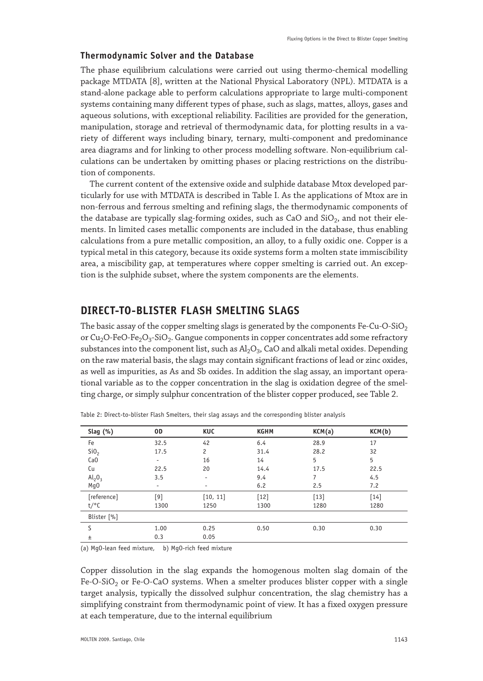#### **Thermodynamic Solver and the Database**

The phase equilibrium calculations were carried out using thermo-chemical modelling package MTDATA [8], written at the National Physical Laboratory (NPL). MTDATA is a stand-alone package able to perform calculations appropriate to large multi-component systems containing many different types of phase, such as slags, mattes, alloys, gases and aqueous solutions, with exceptional reliability. Facilities are provided for the generation, manipulation, storage and retrieval of thermodynamic data, for plotting results in a variety of different ways including binary, ternary, multi-component and predominance area diagrams and for linking to other process modelling software. Non-equilibrium calculations can be undertaken by omitting phases or placing restrictions on the distribution of components.

The current content of the extensive oxide and sulphide database Mtox developed particularly for use with MTDATA is described in Table I. As the applications of Mtox are in non-ferrous and ferrous smelting and refining slags, the thermodynamic components of the database are typically slag-forming oxides, such as CaO and  $SiO<sub>2</sub>$ , and not their elements. In limited cases metallic components are included in the database, thus enabling calculations from a pure metallic composition, an alloy, to a fully oxidic one. Copper is a typical metal in this category, because its oxide systems form a molten state immiscibility area, a miscibility gap, at temperatures where copper smelting is carried out. An exception is the sulphide subset, where the system components are the elements.

## **DIRECT-TO-BLISTER FLASH SMELTING SLAGS**

The basic assay of the copper smelting slags is generated by the components Fe-Cu-O-SiO<sub>2</sub> or  $Cu<sub>2</sub>O-FeO-Fe<sub>2</sub>O<sub>3</sub>-SiO<sub>2</sub>$ . Gangue components in copper concentrates add some refractory substances into the component list, such as  $Al_2O_3$ , CaO and alkali metal oxides. Depending on the raw material basis, the slags may contain significant fractions of lead or zinc oxides, as well as impurities, as As and Sb oxides. In addition the slag assay, an important operational variable as to the copper concentration in the slag is oxidation degree of the smelting charge, or simply sulphur concentration of the blister copper produced, see Table 2.

| Slag $(\%)$      | 0D    | KUC            | <b>KGHM</b> | KCM(a) | KCM(b) |
|------------------|-------|----------------|-------------|--------|--------|
| Fe               | 32.5  | 42             | 6.4         | 28.9   | 17     |
| SiO <sub>2</sub> | 17.5  | $\overline{c}$ | 31.4        | 28.2   | 32     |
| Ca <sub>0</sub>  |       | 16             | 14          | 5      | 5      |
| Cu               | 22.5  | 20             | 14.4        | 17.5   | 22.5   |
| $Al_2O_3$        | 3.5   | ٠              | 9.4         | 7      | 4.5    |
| Mq0              |       | ۰              | 6.2         | 2.5    | 7.2    |
| [reference]      | $[9]$ | [10, 11]       | $[12]$      | $[13]$ | $[14]$ |
| $t$ /°C          | 1300  | 1250           | 1300        | 1280   | 1280   |
| Blister [%]      |       |                |             |        |        |
| S                | 1.00  | 0.25           | 0.50        | 0.30   | 0.30   |
| Ŧ                | 0.3   | 0.05           |             |        |        |
|                  |       |                |             |        |        |

Table 2: Direct-to-blister Flash Smelters, their slag assays and the corresponding blister analysis

(a) MgO-lean feed mixture, b) MgO-rich feed mixture

Copper dissolution in the slag expands the homogenous molten slag domain of the Fe-O-SiO<sub>2</sub> or Fe-O-CaO systems. When a smelter produces blister copper with a single target analysis, typically the dissolved sulphur concentration, the slag chemistry has a simplifying constraint from thermodynamic point of view. It has a fixed oxygen pressure at each temperature, due to the internal equilibrium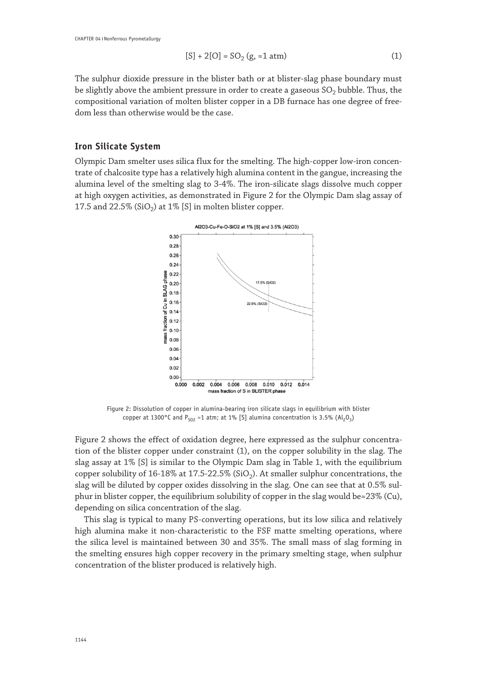$$
[S] + 2[O] = SO_2(g, \approx 1 \text{ atm})
$$
 (1)

The sulphur dioxide pressure in the blister bath or at blister-slag phase boundary must be slightly above the ambient pressure in order to create a gaseous  $SO<sub>2</sub>$  bubble. Thus, the compositional variation of molten blister copper in a DB furnace has one degree of freedom less than otherwise would be the case.

#### **Iron Silicate System**

Olympic Dam smelter uses silica flux for the smelting. The high-copper low-iron concentrate of chalcosite type has a relatively high alumina content in the gangue, increasing the alumina level of the smelting slag to 3-4%. The iron-silicate slags dissolve much copper at high oxygen activities, as demonstrated in Figure 2 for the Olympic Dam slag assay of 17.5 and 22.5% (SiO<sub>2</sub>) at 1% [S] in molten blister copper.



Figure 2: Dissolution of copper in alumina-bearing iron silicate slags in equilibrium with blister copper at 1300°C and  $P_{S_0} \approx 1$  atm; at 1% [S] alumina concentration is 3.5% (Al<sub>2</sub>O<sub>3</sub>)

Figure 2 shows the effect of oxidation degree, here expressed as the sulphur concentration of the blister copper under constraint (1), on the copper solubility in the slag. The slag assay at 1% [S] is similar to the Olympic Dam slag in Table 1, with the equilibrium copper solubility of 16-18% at 17.5-22.5% (SiO<sub>2</sub>). At smaller sulphur concentrations, the slag will be diluted by copper oxides dissolving in the slag. One can see that at 0.5% sulphur in blister copper, the equilibrium solubility of copper in the slag would be≈23% (Cu), depending on silica concentration of the slag.

This slag is typical to many PS-converting operations, but its low silica and relatively high alumina make it non-characteristic to the FSF matte smelting operations, where the silica level is maintained between 30 and 35%. The small mass of slag forming in the smelting ensures high copper recovery in the primary smelting stage, when sulphur concentration of the blister produced is relatively high.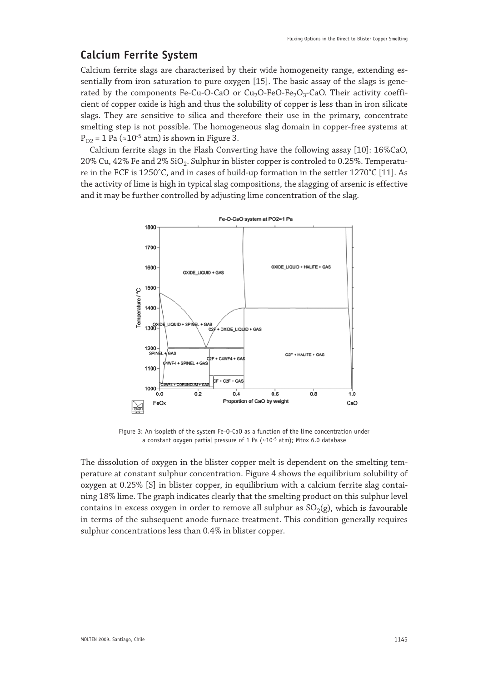# **Calcium Ferrite System**

Calcium ferrite slags are characterised by their wide homogeneity range, extending essentially from iron saturation to pure oxygen [15]. The basic assay of the slags is generated by the components Fe-Cu-O-CaO or  $Cu<sub>2</sub>O-FeO-Fe<sub>2</sub>O<sub>3</sub>-CaO$ . Their activity coefficient of copper oxide is high and thus the solubility of copper is less than in iron silicate slags. They are sensitive to silica and therefore their use in the primary, concentrate smelting step is not possible. The homogeneous slag domain in copper-free systems at  $P_{02}$  = 1 Pa (≈10<sup>-5</sup> atm) is shown in Figure 3.

Calcium ferrite slags in the Flash Converting have the following assay [10]: 16%CaO, 20% Cu,  $42\%$  Fe and  $2\%$  SiO<sub>2</sub>. Sulphur in blister copper is controled to 0.25%. Temperature in the FCF is 1250°C, and in cases of build-up formation in the settler 1270°C [11]. As the activity of lime is high in typical slag compositions, the slagging of arsenic is effective and it may be further controlled by adjusting lime concentration of the slag.



Figure 3: An isopleth of the system Fe-O-CaO as a function of the lime concentration under a constant oxygen partial pressure of 1 Pa ( $\approx$ 10<sup>-5</sup> atm); Mtox 6.0 database

The dissolution of oxygen in the blister copper melt is dependent on the smelting temperature at constant sulphur concentration. Figure 4 shows the equilibrium solubility of oxygen at 0.25% [S] in blister copper, in equilibrium with a calcium ferrite slag containing 18% lime. The graph indicates clearly that the smelting product on this sulphur level contains in excess oxygen in order to remove all sulphur as  $SO<sub>2</sub>(g)$ , which is favourable in terms of the subsequent anode furnace treatment. This condition generally requires sulphur concentrations less than 0.4% in blister copper.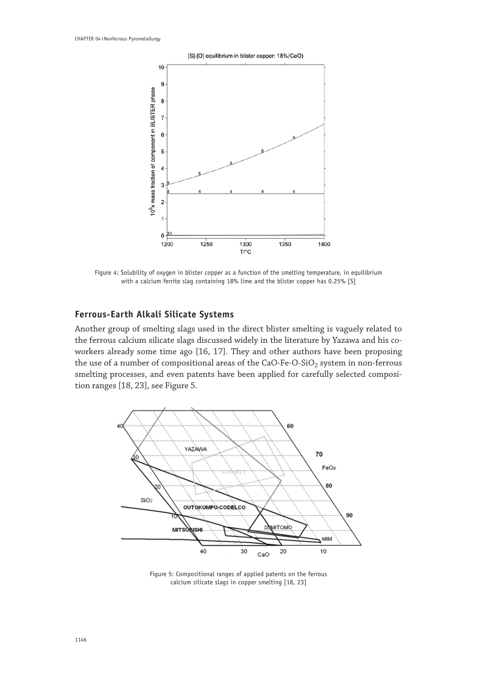

Figure 4: Solubility of oxygen in blister copper as a function of the smelting temperature, in equilibrium with a calcium ferrite slag containing 18% lime and the blister copper has 0.25% [S]

## **Ferrous-Earth Alkali Silicate Systems**

Another group of smelting slags used in the direct blister smelting is vaguely related to the ferrous calcium silicate slags discussed widely in the literature by Yazawa and his coworkers already some time ago [16, 17]. They and other authors have been proposing the use of a number of compositional areas of the CaO-Fe-O-SiO<sub>2</sub> system in non-ferrous smelting processes, and even patents have been applied for carefully selected composition ranges [18, 23], see Figure 5.



Figure 5: Compositional ranges of applied patents on the ferrous calcium silicate slags in copper smelting [18, 23]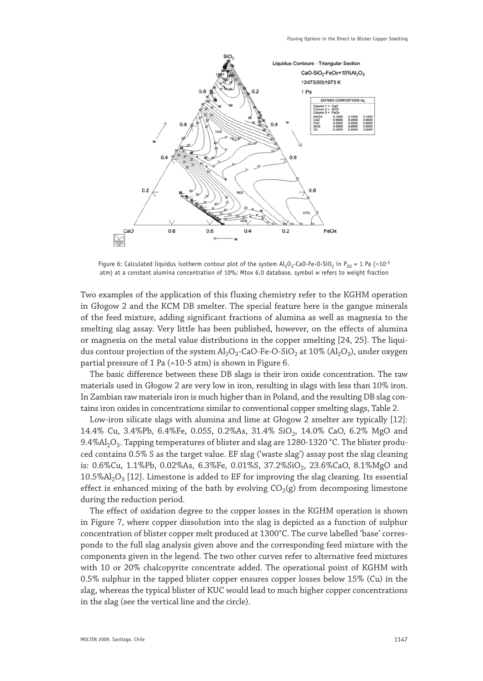

Figure 6: Calculated liquidus isotherm contour plot of the system  $Al_2O_3$ -CaO-Fe-O-SiO<sub>2</sub> in P<sub>O2</sub> = 1 Pa (≈10<sup>-5</sup> atm) at a constant alumina concentration of 10%; Mtox 6.0 database, symbol w refers to weight fraction

Two examples of the application of this fluxing chemistry refer to the KGHM operation in Głogow 2 and the KCM DB smelter. The special feature here is the gangue minerals of the feed mixture, adding significant fractions of alumina as well as magnesia to the smelting slag assay. Very little has been published, however, on the effects of alumina or magnesia on the metal value distributions in the copper smelting [24, 25]. The liquidus contour projection of the system  $A1_2O_3$ -CaO-Fe-O-SiO<sub>2</sub> at 10% ( $A1_2O_3$ ), under oxygen partial pressure of 1 Pa ( $\approx$ 10-5 atm) is shown in Figure 6.

The basic difference between these DB slags is their iron oxide concentration. The raw materials used in Głogow 2 are very low in iron, resulting in slags with less than 10% iron. In Zambian raw materials iron is much higher than in Poland, and the resulting DB slag contains iron oxides in concentrations similar to conventional copper smelting slags, Table 2.

Low-iron silicate slags with alumina and lime at Głogow 2 smelter are typically [12]: 14.4% Cu, 3.4%Pb, 6.4%Fe, 0.05S, 0.2%As, 31.4% SiO<sub>2</sub>, 14.0% CaO, 6.2% MgO and  $9.4\%$ Al<sub>2</sub>O<sub>3</sub>. Tapping temperatures of blister and slag are 1280-1320 °C. The blister produced contains 0.5% S as the target value. EF slag ('waste slag') assay post the slag cleaning is: 0.6%Cu, 1.1%Pb, 0.02%As, 6.3%Fe, 0.01%S, 37.2%SiO<sub>2</sub>, 23.6%CaO, 8.1%MgO and  $10.5\%$ Al<sub>2</sub>O<sub>3</sub> [12]. Limestone is added to EF for improving the slag cleaning. Its essential effect is enhanced mixing of the bath by evolving  $CO<sub>2</sub>(g)$  from decomposing limestone during the reduction period.

The effect of oxidation degree to the copper losses in the KGHM operation is shown in Figure 7, where copper dissolution into the slag is depicted as a function of sulphur concentration of blister copper melt produced at 1300°C. The curve labelled 'base' corresponds to the full slag analysis given above and the corresponding feed mixture with the components given in the legend. The two other curves refer to alternative feed mixtures with 10 or 20% chalcopyrite concentrate added. The operational point of KGHM with 0.5% sulphur in the tapped blister copper ensures copper losses below 15% (Cu) in the slag, whereas the typical blister of KUC would lead to much higher copper concentrations in the slag (see the vertical line and the circle).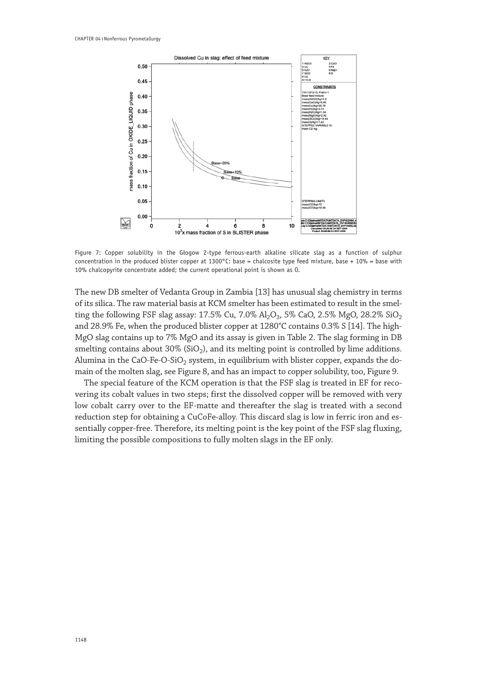

Figure 7: Copper solubility in the Głogow 2-type ferrous-earth alkaline silicate slag as a function of sulphur concentration in the produced blister copper at 1300°C: base = chalcosite type feed mixture, base + 10% = base with 10% chalcopyrite concentrate added; the current operational point is shown as O.

The new DB smelter of Vedanta Group in Zambia [13] has unusual slag chemistry in terms of its silica. The raw material basis at KCM smelter has been estimated to result in the smelting the following FSF slag assay:  $17.5\%$  Cu,  $7.0\%$  Al<sub>2</sub>O<sub>3</sub>,  $5\%$  CaO,  $2.5\%$  MgO,  $28.2\%$  SiO<sub>2</sub> and 28.9% Fe, when the produced blister copper at 1280°C contains 0.3% S [14]. The high-MgO slag contains up to 7% MgO and its assay is given in Table 2. The slag forming in DB smelting contains about 30% (SiO<sub>2</sub>), and its melting point is controlled by lime additions. Alumina in the CaO-Fe-O-SiO<sub>2</sub> system, in equilibrium with blister copper, expands the domain of the molten slag, see Figure 8, and has an impact to copper solubility, too, Figure 9.

The special feature of the KCM operation is that the FSF slag is treated in EF for recovering its cobalt values in two steps; first the dissolved copper will be removed with very low cobalt carry over to the EF-matte and thereafter the slag is treated with a second reduction step for obtaining a CuCoFe-alloy. This discard slag is low in ferric iron and essentially copper-free. Therefore, its melting point is the key point of the FSF slag fluxing, limiting the possible compositions to fully molten slags in the EF only.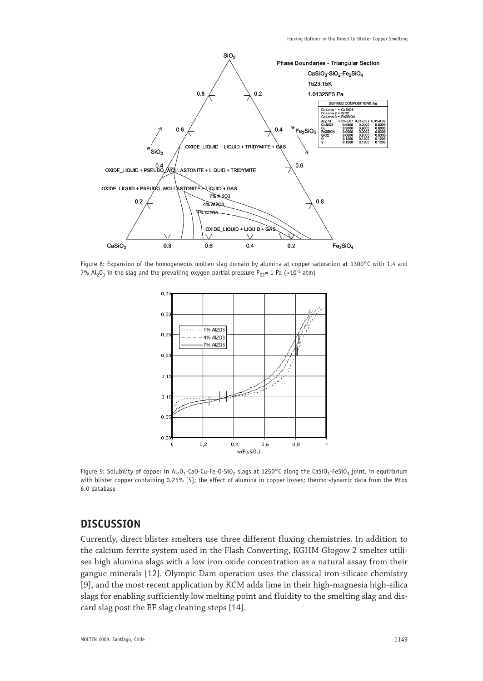

Figure 8: Expansion of the homogeneous molten slag domain by alumina at copper saturation at 1300°C with 1,4 and 7% Al<sub>2</sub>O<sub>3</sub> in the slag and the prevailing oxygen partial pressure P<sub>02</sub>= 1 Pa (≈10<sup>-5</sup> atm)



Figure 9: Solubility of copper in Al<sub>2</sub>O<sub>3</sub>-CaO-Cu-Fe-O-SiO<sub>2</sub> slags at 1250°C along the CaSiO<sub>3</sub>-FeSiO<sub>3</sub> joint, in equilibrium with blister copper containing 0.25% [S]; the effect of alumina in copper losses; thermo-dynamic data from the Mtox 6.0 database

## **DISCUSSION**

Currently, direct blister smelters use three different fluxing chemistries. In addition to the calcium ferrite system used in the Flash Converting, KGHM Głogow 2 smelter utilises high alumina slags with a low iron oxide concentration as a natural assay from their gangue minerals [12]. Olympic Dam operation uses the classical iron-silicate chemistry [9], and the most recent application by KCM adds lime in their high-magnesia high-silica slags for enabling sufficiently low melting point and fluidity to the smelting slag and discard slag post the EF slag cleaning steps [14].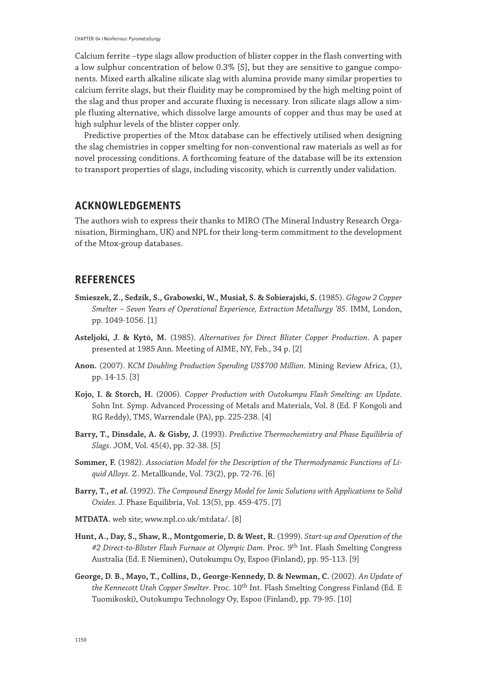Calcium ferrite –type slags allow production of blister copper in the flash converting with a low sulphur concentration of below 0.3% [S], but they are sensitive to gangue components. Mixed earth alkaline silicate slag with alumina provide many similar properties to calcium ferrite slags, but their fluidity may be compromised by the high melting point of the slag and thus proper and accurate fluxing is necessary. Iron silicate slags allow a simple fluxing alternative, which dissolve large amounts of copper and thus may be used at high sulphur levels of the blister copper only.

Predictive properties of the Mtox database can be effectively utilised when designing the slag chemistries in copper smelting for non-conventional raw materials as well as for novel processing conditions. A forthcoming feature of the database will be its extension to transport properties of slags, including viscosity, which is currently under validation.

## **ACKNOWLEDGEMENTS**

The authors wish to express their thanks to MIRO (The Mineral Industry Research Organisation, Birmingham, UK) and NPL for their long-term commitment to the development of the Mtox-group databases.

## **REFERENCES**

- **Smieszek, Z., Sedzik, S., Grabowski, W., Musiał, S. & Sobierajski, S.** (1985). *Głogow 2 Copper Smelter – Seven Years of Operational Experience, Extraction Metallurgy '85*. IMM, London, pp. 1049-1056. [1]
- **Asteljoki, J. & Kytö, M.** (1985). *Alternatives for Direct Blister Copper Production*. A paper presented at 1985 Ann. Meeting of AIME, NY, Feb., 34 p. [2]
- **Anon.** (2007). K*CM Doubling Production Spending US\$700 Million*. Mining Review Africa, (1), pp. 14-15. [3]
- **Kojo, I. & Storch, H.** (2006). C*opper Production with Outokumpu Flash Smelting: an Update*. Sohn Int. Symp. Advanced Processing of Metals and Materials, Vol. 8 (Ed. F Kongoli and RG Reddy), TMS, Warrendale (PA), pp. 225-238. [4]
- **Barry, T., Dinsdale, A. & Gisby, J.** (1993). *Predictive Thermochemistry and Phase Equilibria of Slags*. JOM, Vol. 45(4), pp. 32-38. [5]
- **Sommer, F.** (1982). *Association Model for the Description of the Thermodynamic Functions of Liquid Alloys*. Z. Metallkunde, Vol. 73(2), pp. 72-76. [6]
- **Barry, T.,** *et al.* (1992). *The Compound Energy Model for Ionic Solutions with Applications to Solid Oxides*. J. Phase Equilibria, Vol. 13(5), pp. 459-475. [7]
- **MTDATA.** web site; www.npl.co.uk/mtdata/. [8]
- **Hunt, A., Day, S., Shaw, R., Montgomerie, D. & West, R.** (1999). *Start-up and Operation of the*  #2 Direct-to-Blister Flash Furnace at Olympic Dam. Proc. 9<sup>th</sup> Int. Flash Smelting Congress Australia (Ed. E Nieminen), Outokumpu Oy, Espoo (Finland), pp. 95-113. [9]
- **George, D. B., Mayo, T., Collins, D., George-Kennedy, D. & Newman, C.** (2002). *An Update of the Kennecott Utah Copper Smelter*. Proc. 10th Int. Flash Smelting Congress Finland (Ed. E Tuomikoski), Outokumpu Technology Oy, Espoo (Finland), pp. 79-95. [10]